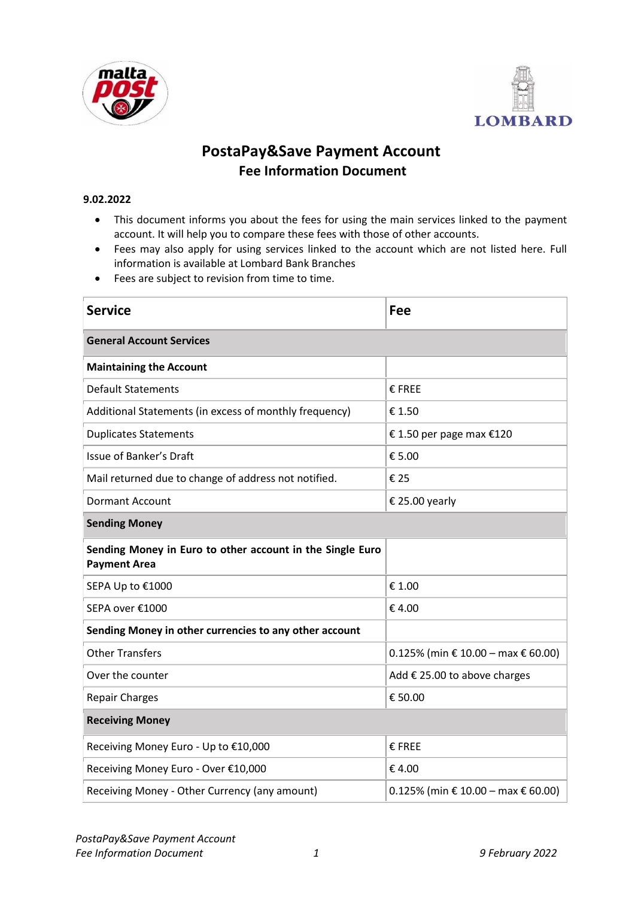



## **PostaPay&Save Payment Account Fee Information Document**

## **9.02.2022**

- This document informs you about the fees for using the main services linked to the payment account. It will help you to compare these fees with those of other accounts.
- Fees may also apply for using services linked to the account which are not listed here. Full information is available at Lombard Bank Branches
- Fees are subject to revision from time to time.

| <b>Service</b>                                                                   | Fee                                   |  |  |  |
|----------------------------------------------------------------------------------|---------------------------------------|--|--|--|
| <b>General Account Services</b>                                                  |                                       |  |  |  |
| <b>Maintaining the Account</b>                                                   |                                       |  |  |  |
| <b>Default Statements</b>                                                        | € FREE                                |  |  |  |
| Additional Statements (in excess of monthly frequency)                           | € 1.50                                |  |  |  |
| <b>Duplicates Statements</b>                                                     | € 1.50 per page max $€120$            |  |  |  |
| <b>Issue of Banker's Draft</b>                                                   | € 5.00                                |  |  |  |
| Mail returned due to change of address not notified.                             | €25                                   |  |  |  |
| <b>Dormant Account</b>                                                           | € 25.00 yearly                        |  |  |  |
| <b>Sending Money</b>                                                             |                                       |  |  |  |
| Sending Money in Euro to other account in the Single Euro<br><b>Payment Area</b> |                                       |  |  |  |
| SEPA Up to €1000                                                                 | € 1.00                                |  |  |  |
| SEPA over €1000                                                                  | €4.00                                 |  |  |  |
| Sending Money in other currencies to any other account                           |                                       |  |  |  |
| <b>Other Transfers</b>                                                           | $0.125\%$ (min € 10.00 – max € 60.00) |  |  |  |
| Over the counter                                                                 | Add € 25.00 to above charges          |  |  |  |
| <b>Repair Charges</b>                                                            | € 50.00                               |  |  |  |
| <b>Receiving Money</b>                                                           |                                       |  |  |  |
| Receiving Money Euro - Up to €10,000                                             | € FREE                                |  |  |  |
| Receiving Money Euro - Over €10,000                                              | €4.00                                 |  |  |  |
| Receiving Money - Other Currency (any amount)                                    | $0.125\%$ (min € 10.00 – max € 60.00) |  |  |  |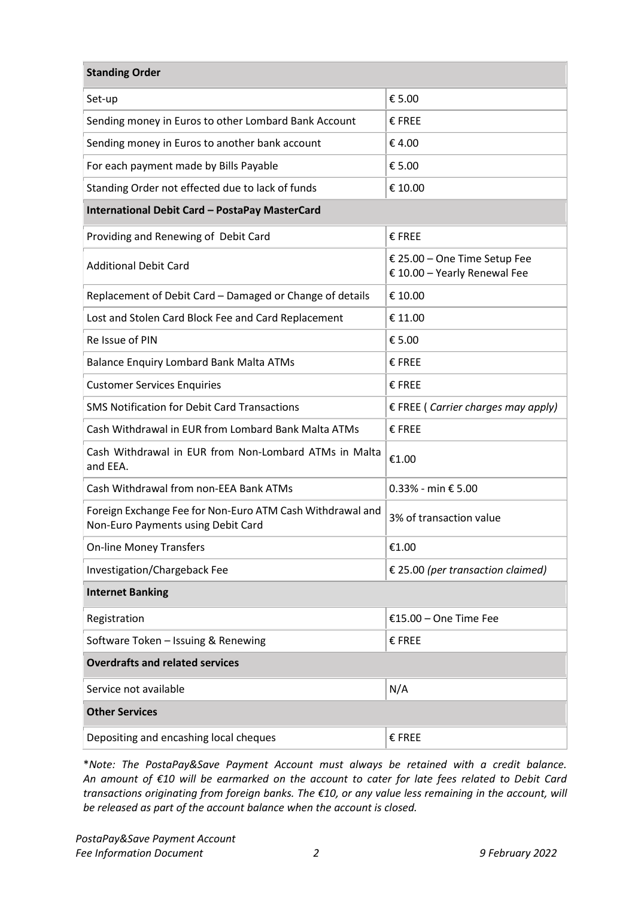| <b>Standing Order</b>                                                                           |                                                              |  |  |  |
|-------------------------------------------------------------------------------------------------|--------------------------------------------------------------|--|--|--|
| Set-up                                                                                          | € 5.00                                                       |  |  |  |
| Sending money in Euros to other Lombard Bank Account                                            | € FREE                                                       |  |  |  |
| Sending money in Euros to another bank account                                                  | €4.00                                                        |  |  |  |
| For each payment made by Bills Payable                                                          | € 5.00                                                       |  |  |  |
| Standing Order not effected due to lack of funds                                                | € 10.00                                                      |  |  |  |
| International Debit Card - PostaPay MasterCard                                                  |                                                              |  |  |  |
| Providing and Renewing of Debit Card                                                            | € FREE                                                       |  |  |  |
| <b>Additional Debit Card</b>                                                                    | € 25.00 - One Time Setup Fee<br>€ 10.00 - Yearly Renewal Fee |  |  |  |
| Replacement of Debit Card - Damaged or Change of details                                        | € 10.00                                                      |  |  |  |
| Lost and Stolen Card Block Fee and Card Replacement                                             | € 11.00                                                      |  |  |  |
| Re Issue of PIN                                                                                 | € 5.00                                                       |  |  |  |
| <b>Balance Enquiry Lombard Bank Malta ATMs</b>                                                  | € FREE                                                       |  |  |  |
| <b>Customer Services Enquiries</b>                                                              | € FREE                                                       |  |  |  |
| <b>SMS Notification for Debit Card Transactions</b>                                             | $E$ FREE (Carrier charges may apply)                         |  |  |  |
| Cash Withdrawal in EUR from Lombard Bank Malta ATMs                                             | € FREE                                                       |  |  |  |
| Cash Withdrawal in EUR from Non-Lombard ATMs in Malta<br>and EEA.                               | €1.00                                                        |  |  |  |
| Cash Withdrawal from non-EEA Bank ATMs                                                          | $0.33%$ - min € 5.00                                         |  |  |  |
| Foreign Exchange Fee for Non-Euro ATM Cash Withdrawal and<br>Non-Euro Payments using Debit Card | 3% of transaction value                                      |  |  |  |
| <b>On-line Money Transfers</b>                                                                  | €1.00                                                        |  |  |  |
| Investigation/Chargeback Fee                                                                    | € 25.00 (per transaction claimed)                            |  |  |  |
| <b>Internet Banking</b>                                                                         |                                                              |  |  |  |
| Registration                                                                                    | €15.00 - One Time Fee                                        |  |  |  |
| Software Token - Issuing & Renewing                                                             | $\epsilon$ FREE                                              |  |  |  |
| <b>Overdrafts and related services</b>                                                          |                                                              |  |  |  |
| Service not available                                                                           | N/A                                                          |  |  |  |
| <b>Other Services</b>                                                                           |                                                              |  |  |  |
| Depositing and encashing local cheques                                                          | € FREE                                                       |  |  |  |

\**Note: The PostaPay&Save Payment Account must always be retained with a credit balance. An amount of €10 will be earmarked on the account to cater for late fees related to Debit Card transactions originating from foreign banks. The €10, or any value less remaining in the account, will be released as part of the account balance when the account is closed.*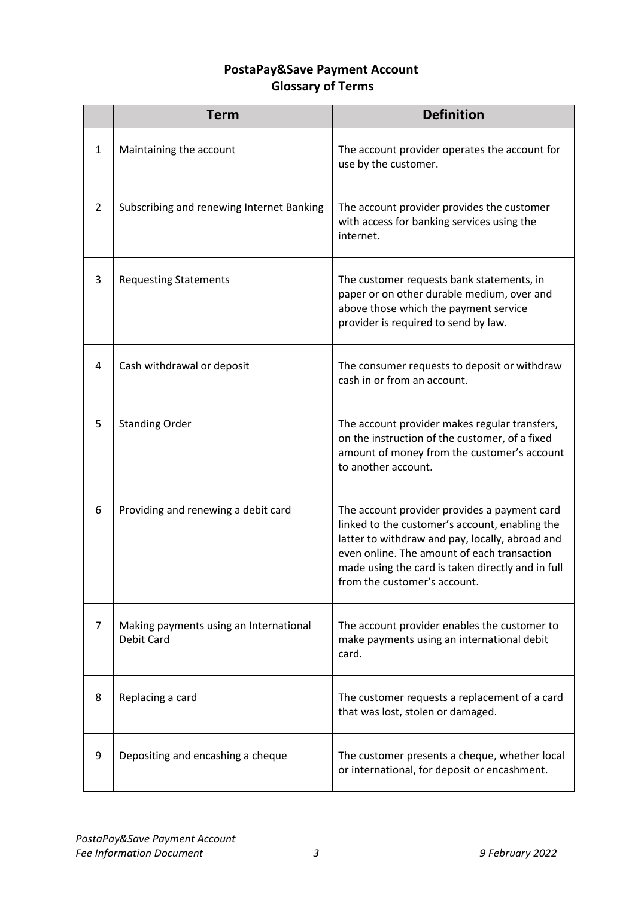## **PostaPay&Save Payment Account Glossary of Terms**

|                | <b>Term</b>                                                 | <b>Definition</b>                                                                                                                                                                                                                                                                     |
|----------------|-------------------------------------------------------------|---------------------------------------------------------------------------------------------------------------------------------------------------------------------------------------------------------------------------------------------------------------------------------------|
| $\mathbf{1}$   | Maintaining the account                                     | The account provider operates the account for<br>use by the customer.                                                                                                                                                                                                                 |
| $\overline{2}$ | Subscribing and renewing Internet Banking                   | The account provider provides the customer<br>with access for banking services using the<br>internet.                                                                                                                                                                                 |
| 3              | <b>Requesting Statements</b>                                | The customer requests bank statements, in<br>paper or on other durable medium, over and<br>above those which the payment service<br>provider is required to send by law.                                                                                                              |
| 4              | Cash withdrawal or deposit                                  | The consumer requests to deposit or withdraw<br>cash in or from an account.                                                                                                                                                                                                           |
| 5              | <b>Standing Order</b>                                       | The account provider makes regular transfers,<br>on the instruction of the customer, of a fixed<br>amount of money from the customer's account<br>to another account.                                                                                                                 |
| 6              | Providing and renewing a debit card                         | The account provider provides a payment card<br>linked to the customer's account, enabling the<br>latter to withdraw and pay, locally, abroad and<br>even online. The amount of each transaction<br>made using the card is taken directly and in full<br>from the customer's account. |
| $\overline{7}$ | Making payments using an International<br><b>Debit Card</b> | The account provider enables the customer to<br>make payments using an international debit<br>card.                                                                                                                                                                                   |
| 8              | Replacing a card                                            | The customer requests a replacement of a card<br>that was lost, stolen or damaged.                                                                                                                                                                                                    |
| 9              | Depositing and encashing a cheque                           | The customer presents a cheque, whether local<br>or international, for deposit or encashment.                                                                                                                                                                                         |